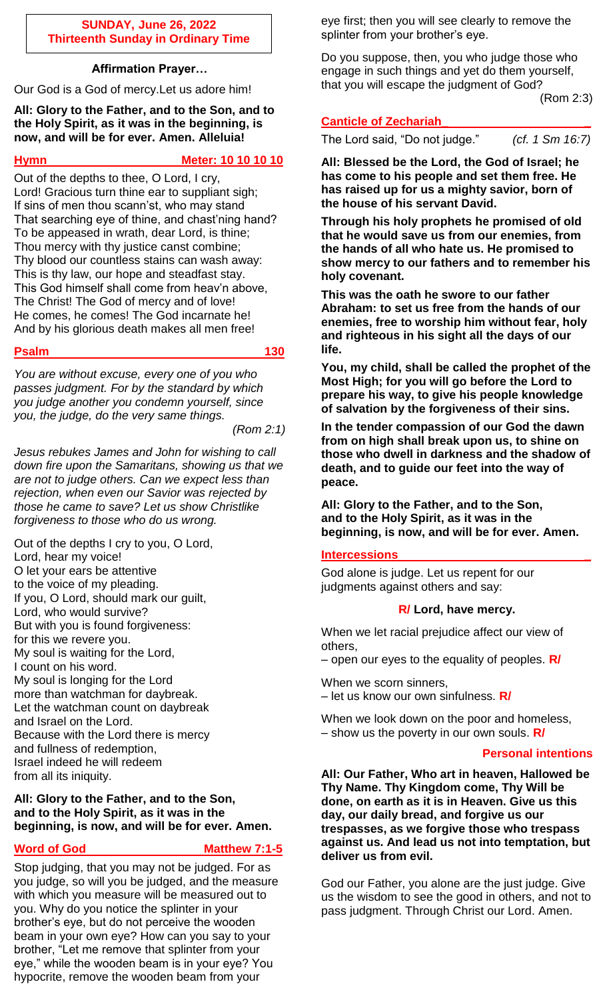### **SUNDAY, June 26, 2022 Thirteenth Sunday in Ordinary Time**

### **Affirmation Prayer…**

Our God is a God of mercy.Let us adore him!

**All: Glory to the Father, and to the Son, and to the Holy Spirit, as it was in the beginning, is now, and will be for ever. Amen. Alleluia!**

## **Hymn** Meter: 10 10 10 10

Out of the depths to thee, O Lord, I cry, Lord! Gracious turn thine ear to suppliant sigh; If sins of men thou scann'st, who may stand That searching eye of thine, and chast'ning hand? To be appeased in wrath, dear Lord, is thine; Thou mercy with thy justice canst combine; Thy blood our countless stains can wash away: This is thy law, our hope and steadfast stay. This God himself shall come from heav'n above, The Christ! The God of mercy and of love! He comes, he comes! The God incarnate he! And by his glorious death makes all men free!

# **Psalm 130**

*You are without excuse, every one of you who passes judgment. For by the standard by which you judge another you condemn yourself, since you, the judge, do the very same things.* 

*(Rom 2:1)*

*Jesus rebukes James and John for wishing to call down fire upon the Samaritans, showing us that we are not to judge others. Can we expect less than rejection, when even our Savior was rejected by those he came to save? Let us show Christlike forgiveness to those who do us wrong.*

Out of the depths I cry to you, O Lord, Lord, hear my voice! O let your ears be attentive to the voice of my pleading. If you, O Lord, should mark our guilt, Lord, who would survive? But with you is found forgiveness: for this we revere you. My soul is waiting for the Lord, I count on his word. My soul is longing for the Lord more than watchman for daybreak. Let the watchman count on daybreak and Israel on the Lord. Because with the Lord there is mercy and fullness of redemption, Israel indeed he will redeem from all its iniquity.

# **All: Glory to the Father, and to the Son, and to the Holy Spirit, as it was in the beginning, is now, and will be for ever. Amen.**

### **Word of God Matthew 7:1-5**

Stop judging, that you may not be judged. For as you judge, so will you be judged, and the measure with which you measure will be measured out to you. Why do you notice the splinter in your brother's eye, but do not perceive the wooden beam in your own eye? How can you say to your brother, "Let me remove that splinter from your eye," while the wooden beam is in your eye? You hypocrite, remove the wooden beam from your

eye first; then you will see clearly to remove the splinter from your brother's eye.

Do you suppose, then, you who judge those who engage in such things and yet do them yourself, that you will escape the judgment of God? (Rom 2:3)

# **Canticle of Zechariah\_ \_**

The Lord said, "Do not judge." *(cf. 1 Sm 16:7)*

**All: Blessed be the Lord, the God of Israel; he has come to his people and set them free. He has raised up for us a mighty savior, born of the house of his servant David.**

**Through his holy prophets he promised of old that he would save us from our enemies, from the hands of all who hate us. He promised to show mercy to our fathers and to remember his holy covenant.**

**This was the oath he swore to our father Abraham: to set us free from the hands of our enemies, free to worship him without fear, holy and righteous in his sight all the days of our life.**

**You, my child, shall be called the prophet of the Most High; for you will go before the Lord to prepare his way, to give his people knowledge of salvation by the forgiveness of their sins.**

**In the tender compassion of our God the dawn from on high shall break upon us, to shine on those who dwell in darkness and the shadow of death, and to guide our feet into the way of peace.**

**All: Glory to the Father, and to the Son, and to the Holy Spirit, as it was in the beginning, is now, and will be for ever. Amen.**

### **Intercessions \_**

God alone is judge. Let us repent for our judgments against others and say:

### **R/ Lord, have mercy.**

When we let racial prejudice affect our view of others,

– open our eyes to the equality of peoples. **R/**

When we scorn sinners,

– let us know our own sinfulness. **R/**

When we look down on the poor and homeless, – show us the poverty in our own souls. **R/**

### **Personal intentions**

**All: Our Father, Who art in heaven, Hallowed be Thy Name. Thy Kingdom come, Thy Will be done, on earth as it is in Heaven. Give us this day, our daily bread, and forgive us our trespasses, as we forgive those who trespass against us. And lead us not into temptation, but deliver us from evil.**

God our Father, you alone are the just judge. Give us the wisdom to see the good in others, and not to pass judgment. Through Christ our Lord. Amen.